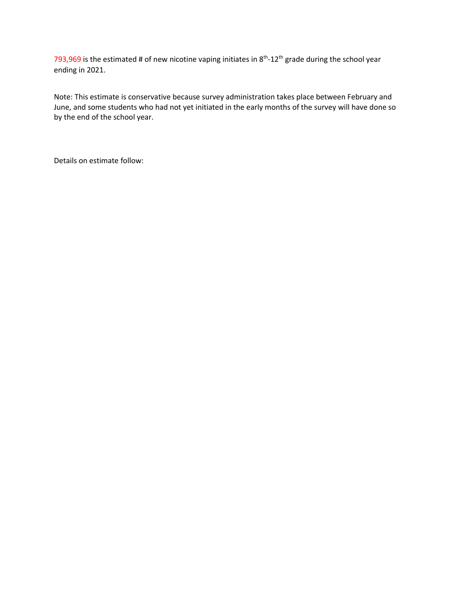793,969 is the estimated # of new nicotine vaping initiates in  $8<sup>th</sup>$ -12<sup>th</sup> grade during the school year ending in 2021.

Note: This estimate is conservative because survey administration takes place between February and June, and some students who had not yet initiated in the early months of the survey will have done so by the end of the school year.

Details on estimate follow: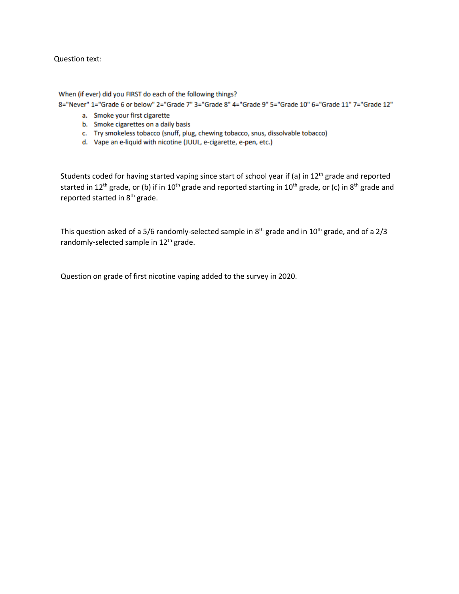## Question text:

When (if ever) did you FIRST do each of the following things?

8="Never" 1="Grade 6 or below" 2="Grade 7" 3="Grade 8" 4="Grade 9" 5="Grade 10" 6="Grade 11" 7="Grade 12"

- a. Smoke your first cigarette
- b. Smoke cigarettes on a daily basis
- c. Try smokeless tobacco (snuff, plug, chewing tobacco, snus, dissolvable tobacco)
- d. Vape an e-liquid with nicotine (JUUL, e-cigarette, e-pen, etc.)

Students coded for having started vaping since start of school year if (a) in 12<sup>th</sup> grade and reported started in 12<sup>th</sup> grade, or (b) if in 10<sup>th</sup> grade and reported starting in 10<sup>th</sup> grade, or (c) in 8<sup>th</sup> grade and reported started in 8<sup>th</sup> grade.

This question asked of a 5/6 randomly-selected sample in  $8<sup>th</sup>$  grade and in 10<sup>th</sup> grade, and of a 2/3 randomly-selected sample in 12<sup>th</sup> grade.

Question on grade of first nicotine vaping added to the survey in 2020.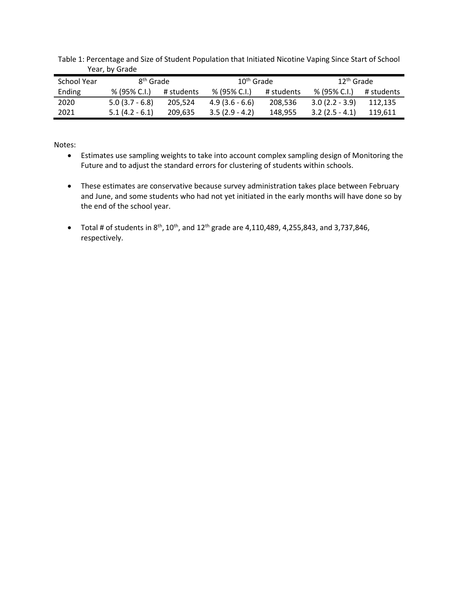| School Year | 8 <sup>th</sup> Grade |            | $10th$ Grade     |            | $12th$ Grade     |            |
|-------------|-----------------------|------------|------------------|------------|------------------|------------|
| Ending      | % (95% C.I.)          | # students | % (95% C.I.)     | # students | % (95% C.I.)     | # students |
| 2020        | $5.0(3.7 - 6.8)$      | 205.524    | $4.9(3.6 - 6.6)$ | 208,536    | $3.0(2.2 - 3.9)$ | 112.135    |
| 2021        | $5.1(4.2 - 6.1)$      | 209,635    | $3.5(2.9 - 4.2)$ | 148.955    | $3.2(2.5 - 4.1)$ | 119.611    |

Table 1: Percentage and Size of Student Population that Initiated Nicotine Vaping Since Start of School Year, by Grade

Notes:

- Estimates use sampling weights to take into account complex sampling design of Monitoring the Future and to adjust the standard errors for clustering of students within schools.
- These estimates are conservative because survey administration takes place between February and June, and some students who had not yet initiated in the early months will have done so by the end of the school year.
- Total # of students in  $8^{th}$ , 10<sup>th</sup>, and 12<sup>th</sup> grade are 4,110,489, 4,255,843, and 3,737,846, respectively.